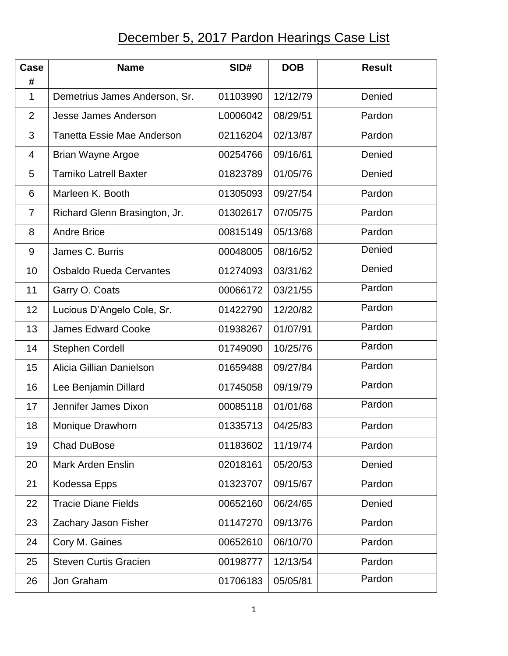## December 5, 2017 Pardon Hearings Case List

| Case<br>#      | <b>Name</b>                       | SID#     | <b>DOB</b> | <b>Result</b> |
|----------------|-----------------------------------|----------|------------|---------------|
| $\mathbf{1}$   | Demetrius James Anderson, Sr.     | 01103990 | 12/12/79   | Denied        |
| $\overline{2}$ | <b>Jesse James Anderson</b>       | L0006042 | 08/29/51   | Pardon        |
| 3              | <b>Tanetta Essie Mae Anderson</b> | 02116204 | 02/13/87   | Pardon        |
| 4              | <b>Brian Wayne Argoe</b>          | 00254766 | 09/16/61   | Denied        |
| 5              | <b>Tamiko Latrell Baxter</b>      | 01823789 | 01/05/76   | Denied        |
| 6              | Marleen K. Booth                  | 01305093 | 09/27/54   | Pardon        |
| $\overline{7}$ | Richard Glenn Brasington, Jr.     | 01302617 | 07/05/75   | Pardon        |
| 8              | <b>Andre Brice</b>                | 00815149 | 05/13/68   | Pardon        |
| 9              | James C. Burris                   | 00048005 | 08/16/52   | Denied        |
| 10             | <b>Osbaldo Rueda Cervantes</b>    | 01274093 | 03/31/62   | Denied        |
| 11             | Garry O. Coats                    | 00066172 | 03/21/55   | Pardon        |
| 12             | Lucious D'Angelo Cole, Sr.        | 01422790 | 12/20/82   | Pardon        |
| 13             | <b>James Edward Cooke</b>         | 01938267 | 01/07/91   | Pardon        |
| 14             | <b>Stephen Cordell</b>            | 01749090 | 10/25/76   | Pardon        |
| 15             | Alicia Gillian Danielson          | 01659488 | 09/27/84   | Pardon        |
| 16             | Lee Benjamin Dillard              | 01745058 | 09/19/79   | Pardon        |
| 17             | Jennifer James Dixon              | 00085118 | 01/01/68   | Pardon        |
| 18             | Monique Drawhorn                  | 01335713 | 04/25/83   | Pardon        |
| 19             | <b>Chad DuBose</b>                | 01183602 | 11/19/74   | Pardon        |
| 20             | <b>Mark Arden Enslin</b>          | 02018161 | 05/20/53   | Denied        |
| 21             | Kodessa Epps                      | 01323707 | 09/15/67   | Pardon        |
| 22             | <b>Tracie Diane Fields</b>        | 00652160 | 06/24/65   | Denied        |
| 23             | Zachary Jason Fisher              | 01147270 | 09/13/76   | Pardon        |
| 24             | Cory M. Gaines                    | 00652610 | 06/10/70   | Pardon        |
| 25             | <b>Steven Curtis Gracien</b>      | 00198777 | 12/13/54   | Pardon        |
| 26             | Jon Graham                        | 01706183 | 05/05/81   | Pardon        |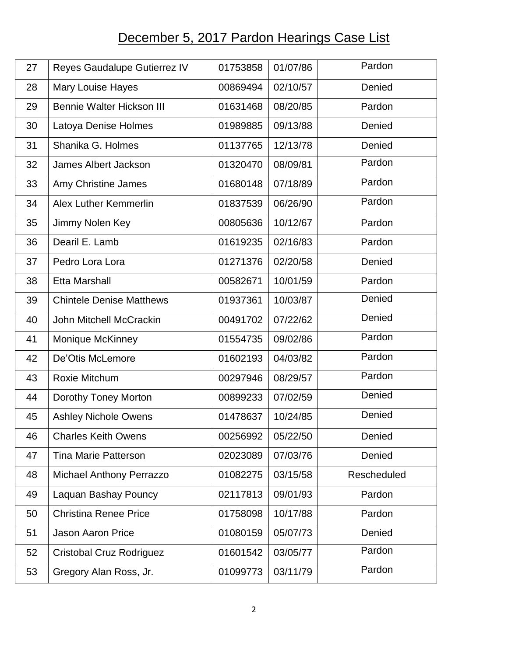## December 5, 2017 Pardon Hearings Case List

| 27 | Reyes Gaudalupe Gutierrez IV     | 01753858 | 01/07/86 | Pardon      |
|----|----------------------------------|----------|----------|-------------|
| 28 | Mary Louise Hayes                | 00869494 | 02/10/57 | Denied      |
| 29 | <b>Bennie Walter Hickson III</b> | 01631468 | 08/20/85 | Pardon      |
| 30 | Latoya Denise Holmes             | 01989885 | 09/13/88 | Denied      |
| 31 | Shanika G. Holmes                | 01137765 | 12/13/78 | Denied      |
| 32 | <b>James Albert Jackson</b>      | 01320470 | 08/09/81 | Pardon      |
| 33 | Amy Christine James              | 01680148 | 07/18/89 | Pardon      |
| 34 | <b>Alex Luther Kemmerlin</b>     | 01837539 | 06/26/90 | Pardon      |
| 35 | Jimmy Nolen Key                  | 00805636 | 10/12/67 | Pardon      |
| 36 | Dearil E. Lamb                   | 01619235 | 02/16/83 | Pardon      |
| 37 | Pedro Lora Lora                  | 01271376 | 02/20/58 | Denied      |
| 38 | <b>Etta Marshall</b>             | 00582671 | 10/01/59 | Pardon      |
| 39 | <b>Chintele Denise Matthews</b>  | 01937361 | 10/03/87 | Denied      |
| 40 | John Mitchell McCrackin          | 00491702 | 07/22/62 | Denied      |
| 41 | <b>Monique McKinney</b>          | 01554735 | 09/02/86 | Pardon      |
| 42 | De'Otis McLemore                 | 01602193 | 04/03/82 | Pardon      |
| 43 | Roxie Mitchum                    | 00297946 | 08/29/57 | Pardon      |
| 44 | Dorothy Toney Morton             | 00899233 | 07/02/59 | Denied      |
| 45 | <b>Ashley Nichole Owens</b>      | 01478637 | 10/24/85 | Denied      |
| 46 | <b>Charles Keith Owens</b>       | 00256992 | 05/22/50 | Denied      |
| 47 | <b>Tina Marie Patterson</b>      | 02023089 | 07/03/76 | Denied      |
| 48 | <b>Michael Anthony Perrazzo</b>  | 01082275 | 03/15/58 | Rescheduled |
| 49 | Laquan Bashay Pouncy             | 02117813 | 09/01/93 | Pardon      |
| 50 | <b>Christina Renee Price</b>     | 01758098 | 10/17/88 | Pardon      |
| 51 | <b>Jason Aaron Price</b>         | 01080159 | 05/07/73 | Denied      |
| 52 | Cristobal Cruz Rodriguez         | 01601542 | 03/05/77 | Pardon      |
| 53 | Gregory Alan Ross, Jr.           | 01099773 | 03/11/79 | Pardon      |